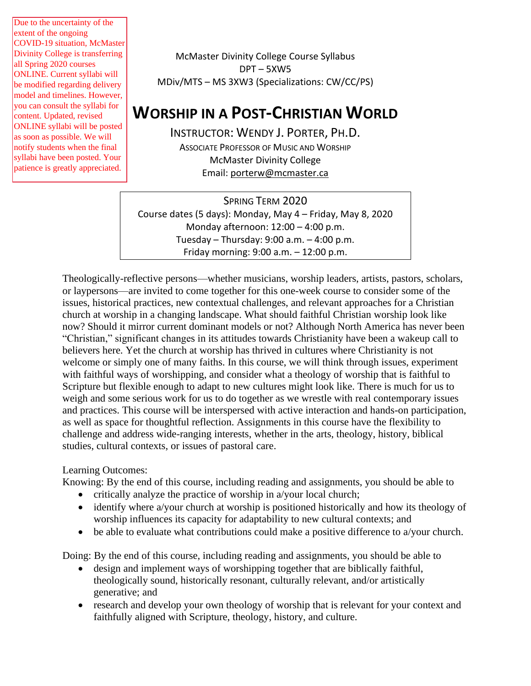Due to the uncertainty of the extent of the ongoing COVID-19 situation, McMaster Divinity College is transferring all Spring 2020 courses ONLINE. Current syllabi will be modified regarding delivery model and timelines. However, you can consult the syllabi for content. Updated, revised ONLINE syllabi will be posted as soon as possible. We will notify students when the final syllabi have been posted. Your patience is greatly appreciated.

McMaster Divinity College Course Syllabus DPT – 5XW5 MDiv/MTS – MS 3XW3 (Specializations: CW/CC/PS)

# **WORSHIP IN A POST-CHRISTIAN WORLD**

INSTRUCTOR: WENDY J. PORTER, PH.D. ASSOCIATE PROFESSOR OF MUSIC AND WORSHIP McMaster Divinity College Email: [porterw@mcmaster.ca](mailto:porterw@mcmaster.ca)

SPRING TERM 2020 Course dates (5 days): Monday, May 4 – Friday, May 8, 2020 Monday afternoon: 12:00 – 4:00 p.m. Tuesday – Thursday: 9:00 a.m. – 4:00 p.m. Friday morning: 9:00 a.m. – 12:00 p.m.

Theologically-reflective persons—whether musicians, worship leaders, artists, pastors, scholars, or laypersons—are invited to come together for this one-week course to consider some of the issues, historical practices, new contextual challenges, and relevant approaches for a Christian church at worship in a changing landscape. What should faithful Christian worship look like now? Should it mirror current dominant models or not? Although North America has never been "Christian," significant changes in its attitudes towards Christianity have been a wakeup call to believers here. Yet the church at worship has thrived in cultures where Christianity is not welcome or simply one of many faiths. In this course, we will think through issues, experiment with faithful ways of worshipping, and consider what a theology of worship that is faithful to Scripture but flexible enough to adapt to new cultures might look like. There is much for us to weigh and some serious work for us to do together as we wrestle with real contemporary issues and practices. This course will be interspersed with active interaction and hands-on participation, as well as space for thoughtful reflection. Assignments in this course have the flexibility to challenge and address wide-ranging interests, whether in the arts, theology, history, biblical studies, cultural contexts, or issues of pastoral care.

# Learning Outcomes:

Knowing: By the end of this course, including reading and assignments, you should be able to

- critically analyze the practice of worship in a/your local church;
- identify where a/your church at worship is positioned historically and how its theology of worship influences its capacity for adaptability to new cultural contexts; and
- be able to evaluate what contributions could make a positive difference to a/your church.

Doing: By the end of this course, including reading and assignments, you should be able to

- design and implement ways of worshipping together that are biblically faithful, theologically sound, historically resonant, culturally relevant, and/or artistically generative; and
- research and develop your own theology of worship that is relevant for your context and faithfully aligned with Scripture, theology, history, and culture.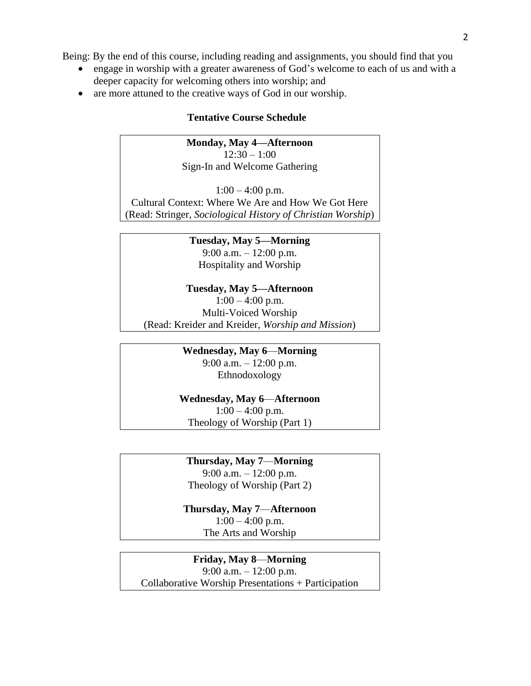Being: By the end of this course, including reading and assignments, you should find that you

- engage in worship with a greater awareness of God's welcome to each of us and with a deeper capacity for welcoming others into worship; and
- are more attuned to the creative ways of God in our worship.

# **Tentative Course Schedule**

# **Monday, May 4—Afternoon**

 $12:30 - 1:00$ Sign-In and Welcome Gathering

 $1:00 - 4:00$  p.m. Cultural Context: Where We Are and How We Got Here (Read: Stringer, *Sociological History of Christian Worship*)

> **Tuesday, May 5—Morning** 9:00 a.m. – 12:00 p.m. Hospitality and Worship

**Tuesday, May 5—Afternoon**  $1:00 - 4:00$  p.m. Multi-Voiced Worship (Read: Kreider and Kreider, *Worship and Mission*)

> **Wednesday, May 6**—**Morning** 9:00 a.m. – 12:00 p.m. Ethnodoxology

**Wednesday, May 6**—**Afternoon**  $1:00 - 4:00$  p.m. Theology of Worship (Part 1)

**Thursday, May 7**—**Morning**

9:00 a.m. – 12:00 p.m. Theology of Worship (Part 2)

**Thursday, May 7**—**Afternoon**  $1:00 - 4:00$  p.m. The Arts and Worship

**Friday, May 8**—**Morning**

9:00 a.m. – 12:00 p.m. Collaborative Worship Presentations + Participation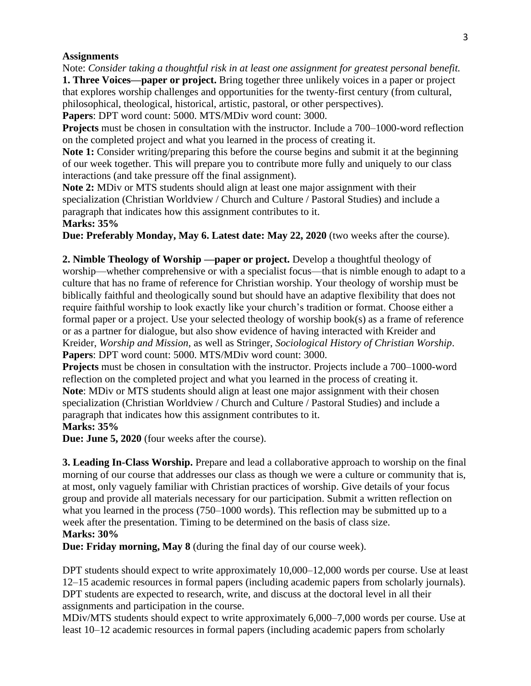# **Assignments**

Note: *Consider taking a thoughtful risk in at least one assignment for greatest personal benefit.* **1. Three Voices—paper or project.** Bring together three unlikely voices in a paper or project that explores worship challenges and opportunities for the twenty-first century (from cultural, philosophical, theological, historical, artistic, pastoral, or other perspectives).

**Papers**: DPT word count: 5000. MTS/MDiv word count: 3000.

**Projects** must be chosen in consultation with the instructor. Include a 700–1000-word reflection on the completed project and what you learned in the process of creating it.

**Note 1:** Consider writing/preparing this before the course begins and submit it at the beginning of our week together. This will prepare you to contribute more fully and uniquely to our class interactions (and take pressure off the final assignment).

**Note 2:** MDiv or MTS students should align at least one major assignment with their specialization (Christian Worldview / Church and Culture / Pastoral Studies) and include a paragraph that indicates how this assignment contributes to it.

# **Marks: 35%**

**Due: Preferably Monday, May 6. Latest date: May 22, 2020** (two weeks after the course).

**2. Nimble Theology of Worship —paper or project.** Develop a thoughtful theology of worship—whether comprehensive or with a specialist focus—that is nimble enough to adapt to a culture that has no frame of reference for Christian worship. Your theology of worship must be biblically faithful and theologically sound but should have an adaptive flexibility that does not require faithful worship to look exactly like your church's tradition or format. Choose either a formal paper or a project. Use your selected theology of worship book(s) as a frame of reference or as a partner for dialogue, but also show evidence of having interacted with Kreider and Kreider, *Worship and Mission*, as well as Stringer, *Sociological History of Christian Worship*. **Papers**: DPT word count: 5000. MTS/MDiv word count: 3000.

**Projects** must be chosen in consultation with the instructor. Projects include a 700–1000-word reflection on the completed project and what you learned in the process of creating it. **Note**: MDiv or MTS students should align at least one major assignment with their chosen specialization (Christian Worldview / Church and Culture / Pastoral Studies) and include a paragraph that indicates how this assignment contributes to it. **Marks: 35%**

**Due: June 5, 2020** (four weeks after the course).

**3. Leading In-Class Worship.** Prepare and lead a collaborative approach to worship on the final morning of our course that addresses our class as though we were a culture or community that is, at most, only vaguely familiar with Christian practices of worship. Give details of your focus group and provide all materials necessary for our participation. Submit a written reflection on what you learned in the process (750–1000 words). This reflection may be submitted up to a week after the presentation. Timing to be determined on the basis of class size. **Marks: 30%**

**Due: Friday morning, May 8** (during the final day of our course week).

DPT students should expect to write approximately 10,000–12,000 words per course. Use at least 12–15 academic resources in formal papers (including academic papers from scholarly journals). DPT students are expected to research, write, and discuss at the doctoral level in all their assignments and participation in the course.

MDiv/MTS students should expect to write approximately 6,000–7,000 words per course. Use at least 10–12 academic resources in formal papers (including academic papers from scholarly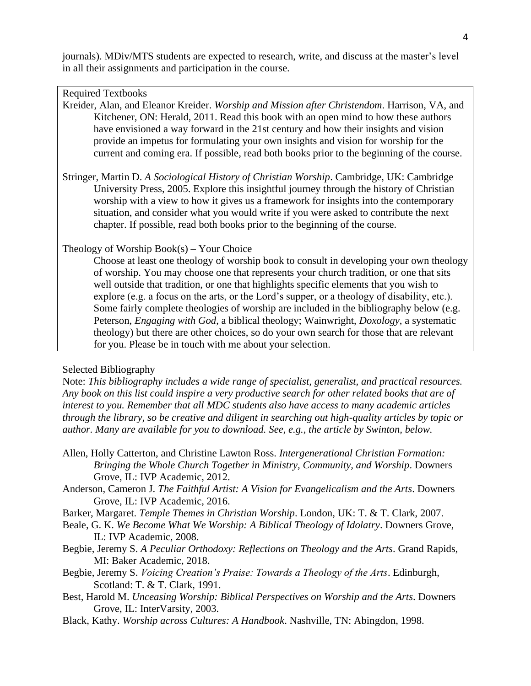journals). MDiv/MTS students are expected to research, write, and discuss at the master's level in all their assignments and participation in the course.

Required Textbooks

Kreider, Alan, and Eleanor Kreider. *Worship and Mission after Christendom*. Harrison, VA, and Kitchener, ON: Herald, 2011. Read this book with an open mind to how these authors have envisioned a way forward in the 21st century and how their insights and vision provide an impetus for formulating your own insights and vision for worship for the current and coming era. If possible, read both books prior to the beginning of the course.

Stringer, Martin D. *A Sociological History of Christian Worship*. Cambridge, UK: Cambridge University Press, 2005. Explore this insightful journey through the history of Christian worship with a view to how it gives us a framework for insights into the contemporary situation, and consider what you would write if you were asked to contribute the next chapter. If possible, read both books prior to the beginning of the course.

Theology of Worship Book(s) – Your Choice

Choose at least one theology of worship book to consult in developing your own theology of worship. You may choose one that represents your church tradition, or one that sits well outside that tradition, or one that highlights specific elements that you wish to explore (e.g. a focus on the arts, or the Lord's supper, or a theology of disability, etc.). Some fairly complete theologies of worship are included in the bibliography below (e.g. Peterson, *Engaging with God*, a biblical theology; Wainwright, *Doxology*, a systematic theology) but there are other choices, so do your own search for those that are relevant for you. Please be in touch with me about your selection.

### Selected Bibliography

Note: *This bibliography includes a wide range of specialist, generalist, and practical resources. Any book on this list could inspire a very productive search for other related books that are of interest to you. Remember that all MDC students also have access to many academic articles through the library, so be creative and diligent in searching out high-quality articles by topic or author. Many are available for you to download. See, e.g., the article by Swinton, below.* 

- Allen, Holly Catterton, and Christine Lawton Ross. *Intergenerational Christian Formation: Bringing the Whole Church Together in Ministry, Community, and Worship*. Downers Grove, IL: IVP Academic, 2012.
- Anderson, Cameron J. *The Faithful Artist: A Vision for Evangelicalism and the Arts*. Downers Grove, IL: IVP Academic, 2016.
- Barker, Margaret. *Temple Themes in Christian Worship*. London, UK: T. & T. Clark, 2007.
- Beale, G. K. *We Become What We Worship: A Biblical Theology of Idolatry*. Downers Grove, IL: IVP Academic, 2008.
- Begbie, Jeremy S. *A Peculiar Orthodoxy: Reflections on Theology and the Arts*. Grand Rapids, MI: Baker Academic, 2018.
- Begbie, Jeremy S. *Voicing Creation's Praise: Towards a Theology of the Arts*. Edinburgh, Scotland: T. & T. Clark, 1991.
- Best, Harold M. *Unceasing Worship: Biblical Perspectives on Worship and the Arts*. Downers Grove, IL: InterVarsity, 2003.
- Black, Kathy. *Worship across Cultures: A Handbook*. Nashville, TN: Abingdon, 1998.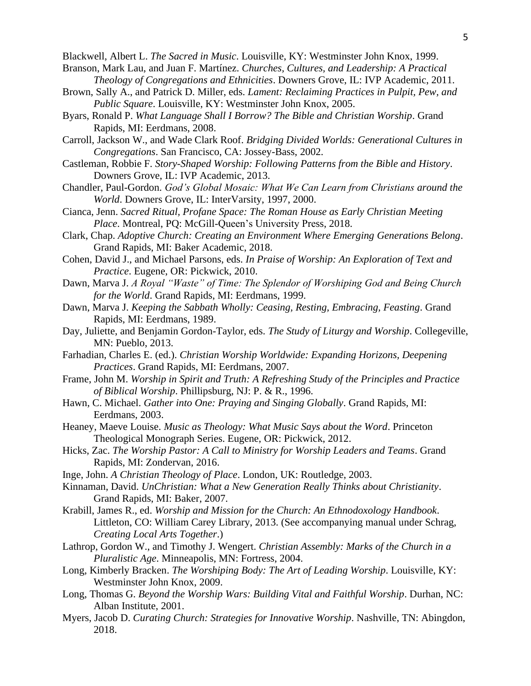Blackwell, Albert L. *The Sacred in Music*. Louisville, KY: Westminster John Knox, 1999.

- Branson, Mark Lau, and Juan F. Martínez. *Churches, Cultures, and Leadership: A Practical Theology of Congregations and Ethnicities*. Downers Grove, IL: IVP Academic, 2011.
- Brown, Sally A., and Patrick D. Miller, eds. *Lament: Reclaiming Practices in Pulpit, Pew, and Public Square*. Louisville, KY: Westminster John Knox, 2005.
- Byars, Ronald P. *What Language Shall I Borrow? The Bible and Christian Worship*. Grand Rapids, MI: Eerdmans, 2008.
- Carroll, Jackson W., and Wade Clark Roof. *Bridging Divided Worlds: Generational Cultures in Congregations*. San Francisco, CA: Jossey-Bass, 2002.
- Castleman, Robbie F. *Story-Shaped Worship: Following Patterns from the Bible and History*. Downers Grove, IL: IVP Academic, 2013.
- Chandler, Paul-Gordon. *God's Global Mosaic: What We Can Learn from Christians around the World*. Downers Grove, IL: InterVarsity, 1997, 2000.
- Cianca, Jenn. *Sacred Ritual, Profane Space: The Roman House as Early Christian Meeting Place*. Montreal, PQ: McGill-Queen's University Press, 2018.
- Clark, Chap. *Adoptive Church: Creating an Environment Where Emerging Generations Belong*. Grand Rapids, MI: Baker Academic, 2018.
- Cohen, David J., and Michael Parsons, eds. *In Praise of Worship: An Exploration of Text and Practice*. Eugene, OR: Pickwick, 2010.
- Dawn, Marva J. *A Royal "Waste" of Time: The Splendor of Worshiping God and Being Church for the World*. Grand Rapids, MI: Eerdmans, 1999.
- Dawn, Marva J. *Keeping the Sabbath Wholly: Ceasing, Resting, Embracing, Feasting*. Grand Rapids, MI: Eerdmans, 1989.
- Day, Juliette, and Benjamin Gordon-Taylor, eds. *The Study of Liturgy and Worship*. Collegeville, MN: Pueblo, 2013.
- Farhadian, Charles E. (ed.). *Christian Worship Worldwide: Expanding Horizons, Deepening Practices*. Grand Rapids, MI: Eerdmans, 2007.
- Frame, John M. *Worship in Spirit and Truth: A Refreshing Study of the Principles and Practice of Biblical Worship*. Phillipsburg, NJ: P. & R., 1996.
- Hawn, C. Michael. *Gather into One: Praying and Singing Globally*. Grand Rapids, MI: Eerdmans, 2003.
- Heaney, Maeve Louise. *Music as Theology: What Music Says about the Word*. Princeton Theological Monograph Series. Eugene, OR: Pickwick, 2012.
- Hicks, Zac. *The Worship Pastor: A Call to Ministry for Worship Leaders and Teams*. Grand Rapids, MI: Zondervan, 2016.
- Inge, John. *A Christian Theology of Place*. London, UK: Routledge, 2003.
- Kinnaman, David. *UnChristian: What a New Generation Really Thinks about Christianity*. Grand Rapids, MI: Baker, 2007.
- Krabill, James R., ed. *Worship and Mission for the Church: An Ethnodoxology Handbook*. Littleton, CO: William Carey Library, 2013. (See accompanying manual under Schrag, *Creating Local Arts Together*.)
- Lathrop, Gordon W., and Timothy J. Wengert. *Christian Assembly: Marks of the Church in a Pluralistic Age*. Minneapolis, MN: Fortress, 2004.
- Long, Kimberly Bracken. *The Worshiping Body: The Art of Leading Worship*. Louisville, KY: Westminster John Knox, 2009.
- Long, Thomas G. *Beyond the Worship Wars: Building Vital and Faithful Worship*. Durhan, NC: Alban Institute, 2001.
- Myers, Jacob D. *Curating Church: Strategies for Innovative Worship*. Nashville, TN: Abingdon, 2018.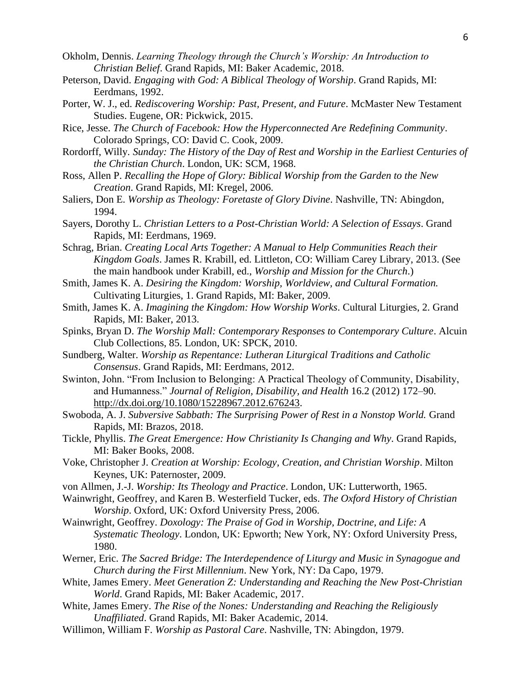- Okholm, Dennis. *Learning Theology through the Church's Worship: An Introduction to Christian Belief*. Grand Rapids, MI: Baker Academic, 2018.
- Peterson, David. *Engaging with God: A Biblical Theology of Worship*. Grand Rapids, MI: Eerdmans, 1992.
- Porter, W. J., ed. *Rediscovering Worship: Past, Present, and Future*. McMaster New Testament Studies. Eugene, OR: Pickwick, 2015.
- Rice, Jesse. *The Church of Facebook: How the Hyperconnected Are Redefining Community*. Colorado Springs, CO: David C. Cook, 2009.
- Rordorff, Willy*. Sunday: The History of the Day of Rest and Worship in the Earliest Centuries of the Christian Church*. London, UK: SCM, 1968.
- Ross, Allen P. *Recalling the Hope of Glory: Biblical Worship from the Garden to the New Creation*. Grand Rapids, MI: Kregel, 2006.
- Saliers, Don E. *Worship as Theology: Foretaste of Glory Divine*. Nashville, TN: Abingdon, 1994.
- Sayers, Dorothy L. *Christian Letters to a Post-Christian World: A Selection of Essays*. Grand Rapids, MI: Eerdmans, 1969.
- Schrag, Brian. *Creating Local Arts Together: A Manual to Help Communities Reach their Kingdom Goals*. James R. Krabill, ed. Littleton, CO: William Carey Library, 2013. (See the main handbook under Krabill, ed., *Worship and Mission for the Church*.)
- Smith, James K. A. *Desiring the Kingdom: Worship, Worldview, and Cultural Formation.*  Cultivating Liturgies, 1. Grand Rapids, MI: Baker, 2009.
- Smith, James K. A. *Imagining the Kingdom: How Worship Works*. Cultural Liturgies, 2. Grand Rapids, MI: Baker, 2013.
- Spinks, Bryan D. *The Worship Mall: Contemporary Responses to Contemporary Culture*. Alcuin Club Collections, 85. London, UK: SPCK, 2010.
- Sundberg, Walter. *Worship as Repentance: Lutheran Liturgical Traditions and Catholic Consensus*. Grand Rapids, MI: Eerdmans, 2012.
- Swinton, John. "From Inclusion to Belonging: A Practical Theology of Community, Disability, and Humanness." *Journal of Religion, Disability, and Health* 16.2 (2012) 172–90. http://dx.doi.org/10.1080/15228967.2012.676243.
- Swoboda, A. J. *Subversive Sabbath: The Surprising Power of Rest in a Nonstop World.* Grand Rapids, MI: Brazos, 2018.
- Tickle, Phyllis. *The Great Emergence: How Christianity Is Changing and Why*. Grand Rapids, MI: Baker Books, 2008.
- Voke, Christopher J. *Creation at Worship: Ecology, Creation, and Christian Worship*. Milton Keynes, UK: Paternoster, 2009.
- von Allmen, J.-J. *Worship: Its Theology and Practice*. London, UK: Lutterworth, 1965.
- Wainwright, Geoffrey, and Karen B. Westerfield Tucker, eds. *The Oxford History of Christian Worship*. Oxford, UK: Oxford University Press, 2006.
- Wainwright, Geoffrey. *Doxology: The Praise of God in Worship, Doctrine, and Life: A Systematic Theology*. London, UK: Epworth; New York, NY: Oxford University Press, 1980.
- Werner, Eric. *The Sacred Bridge: The Interdependence of Liturgy and Music in Synagogue and Church during the First Millennium*. New York, NY: Da Capo, 1979.
- White, James Emery. *Meet Generation Z: Understanding and Reaching the New Post-Christian World*. Grand Rapids, MI: Baker Academic, 2017.
- White, James Emery. *The Rise of the Nones: Understanding and Reaching the Religiously Unaffiliated*. Grand Rapids, MI: Baker Academic, 2014.
- Willimon, William F. *Worship as Pastoral Care*. Nashville, TN: Abingdon, 1979.